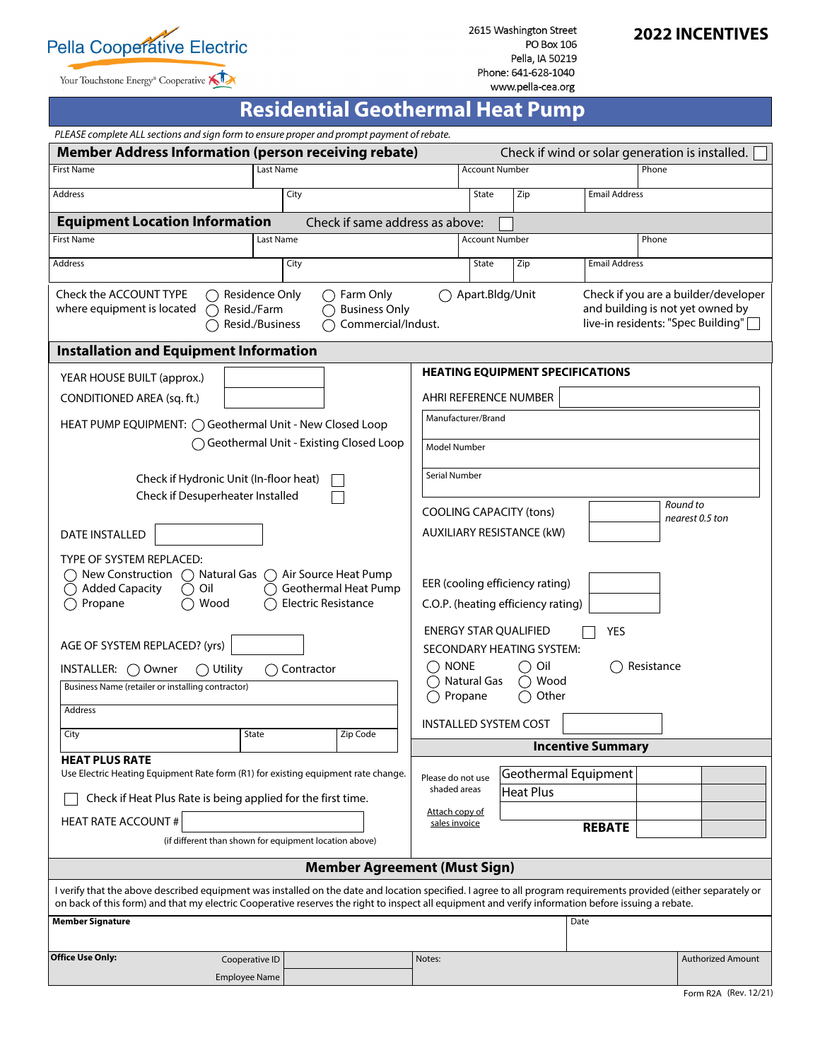

Your Touchstone Energy® Cooperative

2615 Washington Street **PO Box 106** Pella, IA 50219 Phone: 641-628-1040 www.pella-cea.org

# **2022 INCENTIVES**

# **Residential Geothermal Heat Pump**

| PLEASE complete ALL sections and sign form to ensure proper and prompt payment of rebate.                                                                                                                                                                                                                              |                                        |                                                        |                                                                                                                                   |                                                         |                              |                          |                                                 |  |
|------------------------------------------------------------------------------------------------------------------------------------------------------------------------------------------------------------------------------------------------------------------------------------------------------------------------|----------------------------------------|--------------------------------------------------------|-----------------------------------------------------------------------------------------------------------------------------------|---------------------------------------------------------|------------------------------|--------------------------|-------------------------------------------------|--|
| <b>Member Address Information (person receiving rebate)</b>                                                                                                                                                                                                                                                            |                                        |                                                        |                                                                                                                                   |                                                         |                              |                          | Check if wind or solar generation is installed. |  |
| <b>First Name</b>                                                                                                                                                                                                                                                                                                      | Last Name                              |                                                        |                                                                                                                                   | <b>Account Number</b>                                   |                              |                          | Phone                                           |  |
| Address                                                                                                                                                                                                                                                                                                                |                                        | City                                                   |                                                                                                                                   | State                                                   | Zip                          | <b>Email Address</b>     |                                                 |  |
| <b>Equipment Location Information</b>                                                                                                                                                                                                                                                                                  |                                        | Check if same address as above:                        |                                                                                                                                   |                                                         |                              |                          |                                                 |  |
| <b>First Name</b>                                                                                                                                                                                                                                                                                                      | Last Name                              |                                                        |                                                                                                                                   |                                                         | <b>Account Number</b>        |                          | Phone                                           |  |
| Address                                                                                                                                                                                                                                                                                                                |                                        | City                                                   |                                                                                                                                   | State                                                   | Zip                          | <b>Email Address</b>     |                                                 |  |
| <b>Check the ACCOUNT TYPE</b><br>Residence Only<br>$\bigcap$ Farm Only<br>where equipment is located<br>Resid./Farm<br><b>Business Only</b><br>( )<br>Resid./Business<br>Commercial/Indust.                                                                                                                            |                                        |                                                        | Check if you are a builder/developer<br>Apart.Bldg/Unit<br>and building is not yet owned by<br>live-in residents: "Spec Building" |                                                         |                              |                          |                                                 |  |
| <b>Installation and Equipment Information</b>                                                                                                                                                                                                                                                                          |                                        |                                                        |                                                                                                                                   |                                                         |                              |                          |                                                 |  |
| YEAR HOUSE BUILT (approx.)                                                                                                                                                                                                                                                                                             |                                        |                                                        | <b>HEATING EQUIPMENT SPECIFICATIONS</b>                                                                                           |                                                         |                              |                          |                                                 |  |
| CONDITIONED AREA (sq. ft.)                                                                                                                                                                                                                                                                                             |                                        |                                                        | AHRI REFERENCE NUMBER                                                                                                             |                                                         |                              |                          |                                                 |  |
| HEAT PUMP EQUIPMENT: ◯ Geothermal Unit - New Closed Loop                                                                                                                                                                                                                                                               |                                        |                                                        | Manufacturer/Brand                                                                                                                |                                                         |                              |                          |                                                 |  |
| ◯ Geothermal Unit - Existing Closed Loop                                                                                                                                                                                                                                                                               |                                        |                                                        | <b>Model Number</b>                                                                                                               |                                                         |                              |                          |                                                 |  |
| Check if Hydronic Unit (In-floor heat)                                                                                                                                                                                                                                                                                 |                                        |                                                        | Serial Number                                                                                                                     |                                                         |                              |                          |                                                 |  |
| Check if Desuperheater Installed                                                                                                                                                                                                                                                                                       |                                        |                                                        |                                                                                                                                   |                                                         |                              |                          |                                                 |  |
|                                                                                                                                                                                                                                                                                                                        |                                        |                                                        | Round to<br><b>COOLING CAPACITY (tons)</b><br>nearest 0.5 ton                                                                     |                                                         |                              |                          |                                                 |  |
| <b>DATE INSTALLED</b>                                                                                                                                                                                                                                                                                                  |                                        |                                                        | <b>AUXILIARY RESISTANCE (kW)</b>                                                                                                  |                                                         |                              |                          |                                                 |  |
| TYPE OF SYSTEM REPLACED:<br>New Construction<br>Natural Gas<br>Air Source Heat Pump<br>( )<br>Geothermal Heat Pump<br><b>Added Capacity</b><br>Oil<br>Propane<br>Wood<br><b>Electric Resistance</b>                                                                                                                    |                                        |                                                        | EER (cooling efficiency rating)<br>C.O.P. (heating efficiency rating)                                                             |                                                         |                              |                          |                                                 |  |
| AGE OF SYSTEM REPLACED? (yrs)                                                                                                                                                                                                                                                                                          |                                        |                                                        | <b>ENERGY STAR QUALIFIED</b><br><b>YES</b><br>SECONDARY HEATING SYSTEM:                                                           |                                                         |                              |                          |                                                 |  |
| INSTALLER: $\bigcirc$ Owner<br>$\bigcirc$ Utility<br>◯ Contractor                                                                                                                                                                                                                                                      |                                        |                                                        | $\bigcap$ none<br>$\bigcirc$ Oil<br>Resistance                                                                                    |                                                         |                              |                          |                                                 |  |
| Business Name (retailer or installing contractor)                                                                                                                                                                                                                                                                      |                                        |                                                        |                                                                                                                                   | Natural Gas<br>$\bigcirc$ Wood<br>Propane<br>Other<br>∩ |                              |                          |                                                 |  |
| Address                                                                                                                                                                                                                                                                                                                |                                        |                                                        |                                                                                                                                   |                                                         |                              |                          |                                                 |  |
| City                                                                                                                                                                                                                                                                                                                   | State                                  | Zip Code                                               |                                                                                                                                   |                                                         | <b>INSTALLED SYSTEM COST</b> |                          |                                                 |  |
| <b>HEAT PLUS RATE</b>                                                                                                                                                                                                                                                                                                  |                                        |                                                        |                                                                                                                                   |                                                         |                              | <b>Incentive Summary</b> |                                                 |  |
| Use Electric Heating Equipment Rate form (R1) for existing equipment rate change.                                                                                                                                                                                                                                      |                                        |                                                        |                                                                                                                                   | Please do not use                                       | Geothermal Equipment         |                          |                                                 |  |
| Check if Heat Plus Rate is being applied for the first time.                                                                                                                                                                                                                                                           |                                        |                                                        | shaded areas                                                                                                                      |                                                         | <b>Heat Plus</b>             |                          |                                                 |  |
| <b>HEAT RATE ACCOUNT #</b>                                                                                                                                                                                                                                                                                             |                                        |                                                        | Attach copy of<br>sales invoice                                                                                                   |                                                         |                              | <b>REBATE</b>            |                                                 |  |
|                                                                                                                                                                                                                                                                                                                        |                                        | (if different than shown for equipment location above) |                                                                                                                                   |                                                         |                              |                          |                                                 |  |
| <b>Member Agreement (Must Sign)</b>                                                                                                                                                                                                                                                                                    |                                        |                                                        |                                                                                                                                   |                                                         |                              |                          |                                                 |  |
| I verify that the above described equipment was installed on the date and location specified. I agree to all program requirements provided (either separately or<br>on back of this form) and that my electric Cooperative reserves the right to inspect all equipment and verify information before issuing a rebate. |                                        |                                                        |                                                                                                                                   |                                                         |                              |                          |                                                 |  |
| <b>Member Signature</b>                                                                                                                                                                                                                                                                                                |                                        |                                                        |                                                                                                                                   |                                                         |                              | Date                     |                                                 |  |
| <b>Office Use Only:</b>                                                                                                                                                                                                                                                                                                |                                        |                                                        |                                                                                                                                   |                                                         |                              |                          |                                                 |  |
|                                                                                                                                                                                                                                                                                                                        | Cooperative ID<br><b>Employee Name</b> |                                                        | Notes:                                                                                                                            |                                                         |                              |                          | <b>Authorized Amount</b>                        |  |